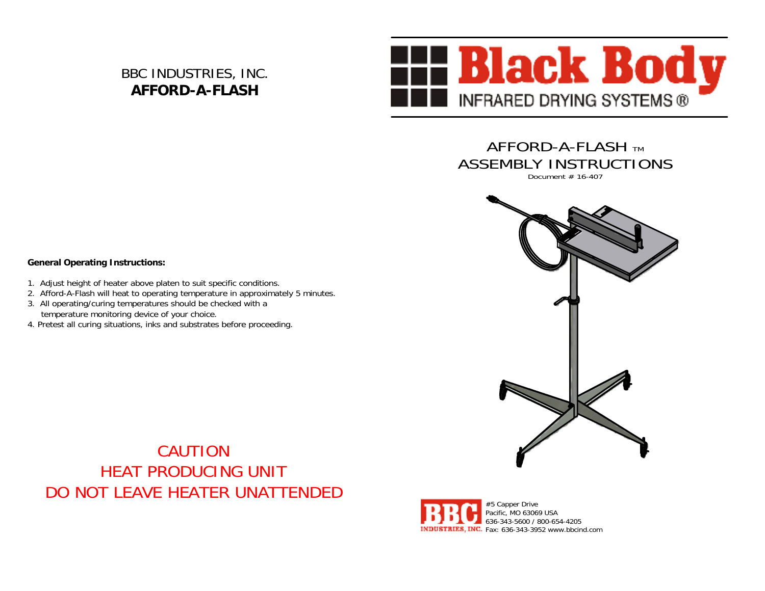BBC INDUSTRIES, INC. **AFFORD-A-FLASH**



AFFORD-A-FLASH TM ASSEMBLY INSTRUCTIONS

Document # 16-407



CAUTIONHEAT PRODUCING UNITDO NOT LEAVE HEATER UNATTENDED



## **General Operating Instructions:**

- 1. Adjust height of heater above platen to suit specific conditions.
- 2. Afford-A-Flash will heat to operating temperature in approximately 5 minutes.
- 3. All operating/curing temperatures should be checked with a temperature monitoring device of your choice.
- 4. Pretest all curing situations, inks and substrates before proceeding.